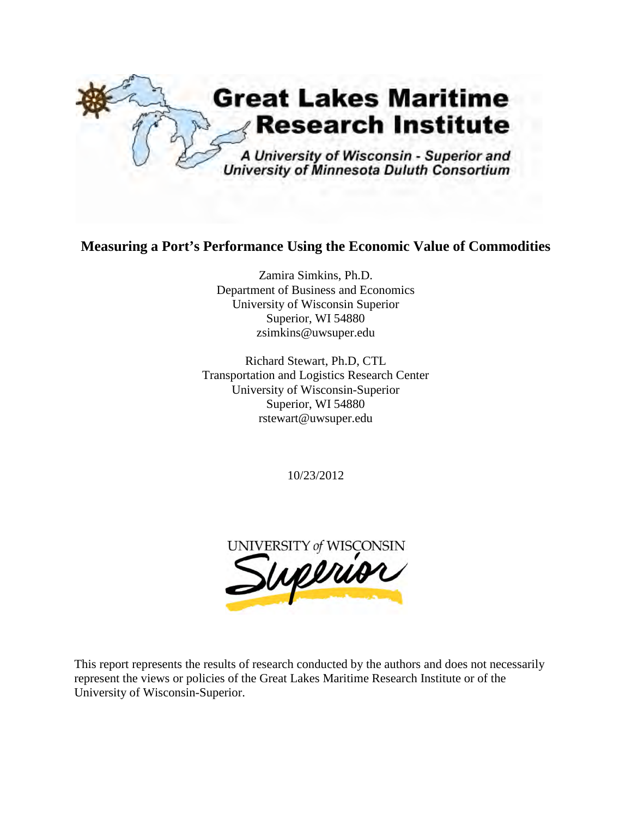

## **Measuring a Port's Performance Using the Economic Value of Commodities**

Zamira Simkins, Ph.D. Department of Business and Economics University of Wisconsin Superior Superior, WI 54880 zsimkins@uwsuper.edu

Richard Stewart, Ph.D, CTL Transportation and Logistics Research Center University of Wisconsin-Superior Superior, WI 54880 [rstewart@uwsuper.edu](mailto:rstewart@uwsuper.edu)

10/23/2012



This report represents the results of research conducted by the authors and does not necessarily represent the views or policies of the Great Lakes Maritime Research Institute or of the University of Wisconsin-Superior.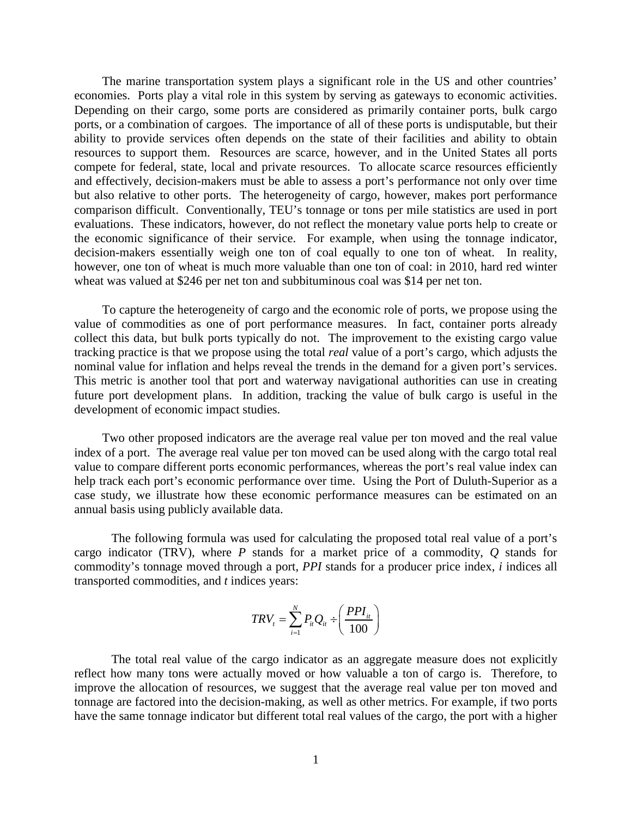The marine transportation system plays a significant role in the US and other countries' economies. Ports play a vital role in this system by serving as gateways to economic activities. Depending on their cargo, some ports are considered as primarily container ports, bulk cargo ports, or a combination of cargoes. The importance of all of these ports is undisputable, but their ability to provide services often depends on the state of their facilities and ability to obtain resources to support them. Resources are scarce, however, and in the United States all ports compete for federal, state, local and private resources. To allocate scarce resources efficiently and effectively, decision-makers must be able to assess a port's performance not only over time but also relative to other ports. The heterogeneity of cargo, however, makes port performance comparison difficult. Conventionally, TEU's tonnage or tons per mile statistics are used in port evaluations. These indicators, however, do not reflect the monetary value ports help to create or the economic significance of their service. For example, when using the tonnage indicator, decision-makers essentially weigh one ton of coal equally to one ton of wheat. In reality, however, one ton of wheat is much more valuable than one ton of coal: in 2010, hard red winter wheat was valued at \$246 per net ton and subbituminous coal was \$14 per net ton.

To capture the heterogeneity of cargo and the economic role of ports, we propose using the value of commodities as one of port performance measures. In fact, container ports already collect this data, but bulk ports typically do not. The improvement to the existing cargo value tracking practice is that we propose using the total *real* value of a port's cargo, which adjusts the nominal value for inflation and helps reveal the trends in the demand for a given port's services. This metric is another tool that port and waterway navigational authorities can use in creating future port development plans. In addition, tracking the value of bulk cargo is useful in the development of economic impact studies.

 Two other proposed indicators are the average real value per ton moved and the real value index of a port. The average real value per ton moved can be used along with the cargo total real value to compare different ports economic performances, whereas the port's real value index can help track each port's economic performance over time. Using the Port of Duluth-Superior as a case study, we illustrate how these economic performance measures can be estimated on an annual basis using publicly available data.

The following formula was used for calculating the proposed total real value of a port's cargo indicator (TRV), where *P* stands for a market price of a commodity, *Q* stands for commodity's tonnage moved through a port, *PPI* stands for a producer price index, *i* indices all transported commodities, and *t* indices years:

$$
TRV_t = \sum_{i=1}^{N} P_{it} Q_{it} \div \left(\frac{PPI_{it}}{100}\right)
$$

The total real value of the cargo indicator as an aggregate measure does not explicitly reflect how many tons were actually moved or how valuable a ton of cargo is. Therefore, to improve the allocation of resources, we suggest that the average real value per ton moved and tonnage are factored into the decision-making, as well as other metrics. For example, if two ports have the same tonnage indicator but different total real values of the cargo, the port with a higher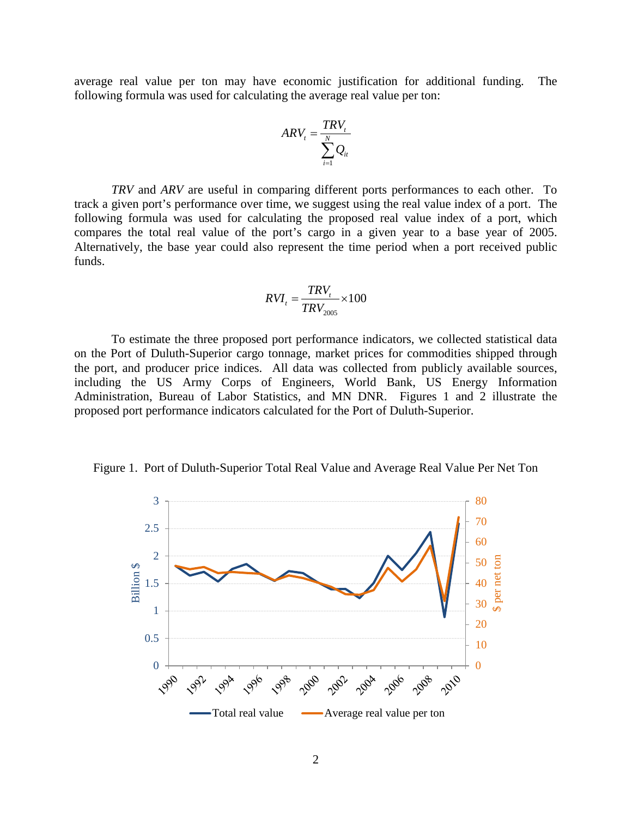average real value per ton may have economic justification for additional funding. The following formula was used for calculating the average real value per ton:

$$
ARV_t = \frac{TRV_t}{\sum_{i=1}^{N} Q_{it}}
$$

*TRV* and *ARV* are useful in comparing different ports performances to each other. To track a given port's performance over time, we suggest using the real value index of a port. The following formula was used for calculating the proposed real value index of a port, which compares the total real value of the port's cargo in a given year to a base year of 2005. Alternatively, the base year could also represent the time period when a port received public funds.

$$
RVI_t = \frac{TRV_t}{TRV_{2005}} \times 100
$$

To estimate the three proposed port performance indicators, we collected statistical data on the Port of Duluth-Superior cargo tonnage, market prices for commodities shipped through the port, and producer price indices. All data was collected from publicly available sources, including the US Army Corps of Engineers, World Bank, US Energy Information Administration, Bureau of Labor Statistics, and MN DNR. Figures 1 and 2 illustrate the proposed port performance indicators calculated for the Port of Duluth-Superior.

Figure 1. Port of Duluth-Superior Total Real Value and Average Real Value Per Net Ton

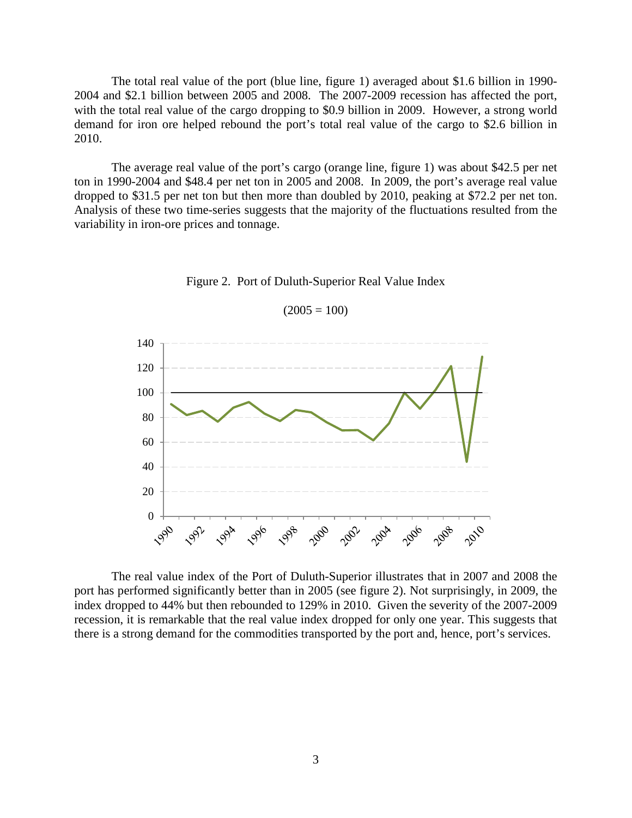The total real value of the port (blue line, figure 1) averaged about \$1.6 billion in 1990- 2004 and \$2.1 billion between 2005 and 2008. The 2007-2009 recession has affected the port, with the total real value of the cargo dropping to \$0.9 billion in 2009. However, a strong world demand for iron ore helped rebound the port's total real value of the cargo to \$2.6 billion in 2010.

The average real value of the port's cargo (orange line, figure 1) was about \$42.5 per net ton in 1990-2004 and \$48.4 per net ton in 2005 and 2008. In 2009, the port's average real value dropped to \$31.5 per net ton but then more than doubled by 2010, peaking at \$72.2 per net ton. Analysis of these two time-series suggests that the majority of the fluctuations resulted from the variability in iron-ore prices and tonnage.



Figure 2. Port of Duluth-Superior Real Value Index

 $(2005 = 100)$ 

The real value index of the Port of Duluth-Superior illustrates that in 2007 and 2008 the port has performed significantly better than in 2005 (see figure 2). Not surprisingly, in 2009, the index dropped to 44% but then rebounded to 129% in 2010. Given the severity of the 2007-2009 recession, it is remarkable that the real value index dropped for only one year. This suggests that there is a strong demand for the commodities transported by the port and, hence, port's services.